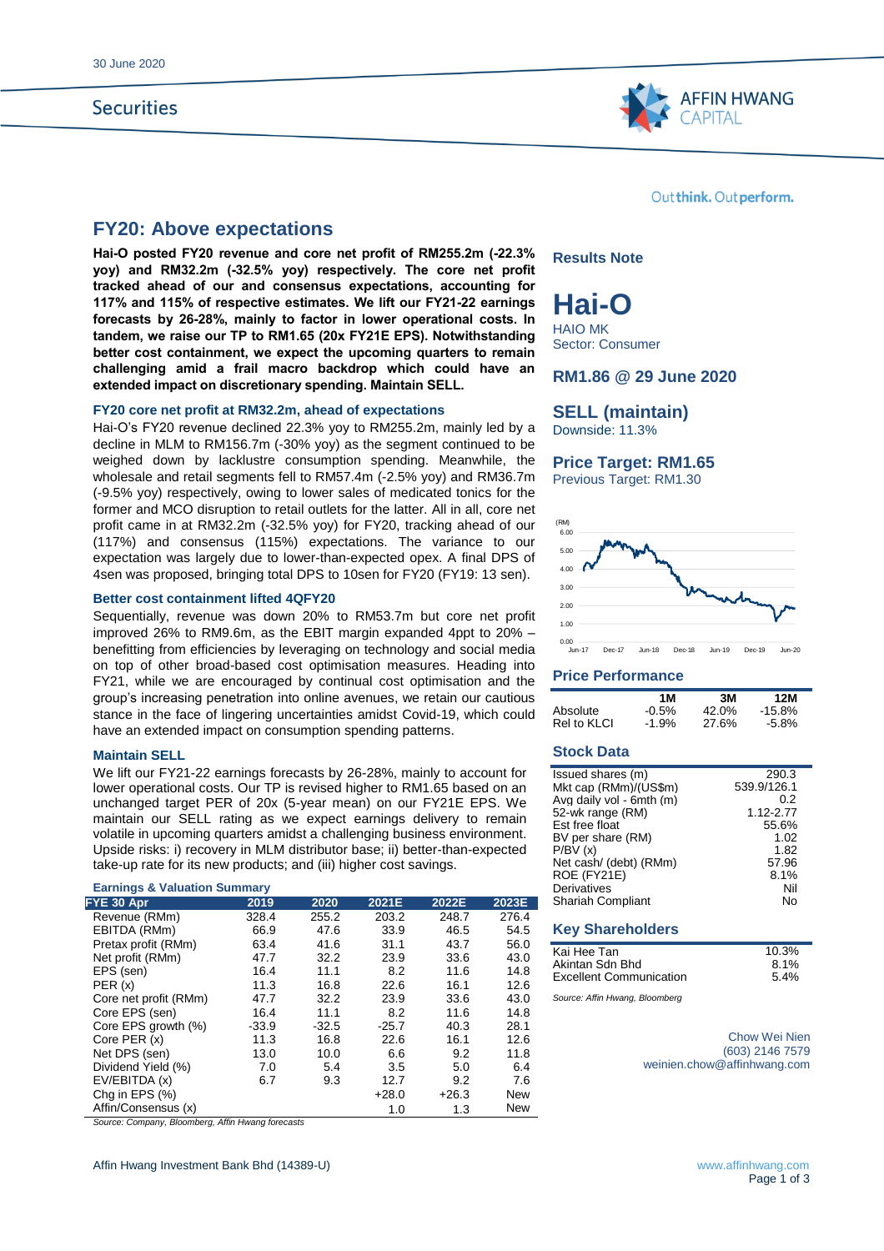# **Securities**



# **FY20: Above expectations**

**Hai-O posted FY20 revenue and core net profit of RM255.2m (-22.3% yoy) and RM32.2m (-32.5% yoy) respectively. The core net profit tracked ahead of our and consensus expectations, accounting for 117% and 115% of respective estimates. We lift our FY21-22 earnings forecasts by 26-28%, mainly to factor in lower operational costs. In tandem, we raise our TP to RM1.65 (20x FY21E EPS). Notwithstanding better cost containment, we expect the upcoming quarters to remain challenging amid a frail macro backdrop which could have an extended impact on discretionary spending. Maintain SELL.** 

#### **FY20 core net profit at RM32.2m, ahead of expectations**

Hai-O's FY20 revenue declined 22.3% yoy to RM255.2m, mainly led by a decline in MLM to RM156.7m (-30% yoy) as the segment continued to be weighed down by lacklustre consumption spending. Meanwhile, the wholesale and retail segments fell to RM57.4m (-2.5% yoy) and RM36.7m (-9.5% yoy) respectively, owing to lower sales of medicated tonics for the former and MCO disruption to retail outlets for the latter. All in all, core net profit came in at RM32.2m (-32.5% yoy) for FY20, tracking ahead of our (117%) and consensus (115%) expectations. The variance to our expectation was largely due to lower-than-expected opex. A final DPS of 4sen was proposed, bringing total DPS to 10sen for FY20 (FY19: 13 sen).

#### **Better cost containment lifted 4QFY20**

Sequentially, revenue was down 20% to RM53.7m but core net profit improved 26% to RM9.6m, as the EBIT margin expanded 4ppt to 20% – benefitting from efficiencies by leveraging on technology and social media on top of other broad-based cost optimisation measures. Heading into FY21, while we are encouraged by continual cost optimisation and the group's increasing penetration into online avenues, we retain our cautious stance in the face of lingering uncertainties amidst Covid-19, which could have an extended impact on consumption spending patterns.

#### **Maintain SELL**

We lift our FY21-22 earnings forecasts by 26-28%, mainly to account for lower operational costs. Our TP is revised higher to RM1.65 based on an unchanged target PER of 20x (5-year mean) on our FY21E EPS. We maintain our SELL rating as we expect earnings delivery to remain volatile in upcoming quarters amidst a challenging business environment. Upside risks: i) recovery in MLM distributor base; ii) better-than-expected take-up rate for its new products; and (iii) higher cost savings.

#### **Earnings & Valuation Summary**

| FYE 30 Apr            | 2019    | 2020    | 2021E   | 2022E   | 2023E      |
|-----------------------|---------|---------|---------|---------|------------|
| Revenue (RMm)         | 328.4   | 255.2   | 203.2   | 248.7   | 276.4      |
| EBITDA (RMm)          | 66.9    | 47.6    | 33.9    | 46.5    | 54.5       |
| Pretax profit (RMm)   | 63.4    | 41.6    | 31.1    | 43.7    | 56.0       |
| Net profit (RMm)      | 47.7    | 32.2    | 23.9    | 33.6    | 43.0       |
| EPS (sen)             | 16.4    | 11.1    | 8.2     | 11.6    | 14.8       |
| PER(x)                | 11.3    | 16.8    | 22.6    | 16.1    | 12.6       |
| Core net profit (RMm) | 47.7    | 32.2    | 23.9    | 33.6    | 43.0       |
| Core EPS (sen)        | 16.4    | 11.1    | 8.2     | 11.6    | 14.8       |
| Core EPS growth (%)   | $-33.9$ | $-32.5$ | $-25.7$ | 40.3    | 28.1       |
| Core PER (x)          | 11.3    | 16.8    | 22.6    | 16.1    | 12.6       |
| Net DPS (sen)         | 13.0    | 10.0    | 6.6     | 9.2     | 11.8       |
| Dividend Yield (%)    | 7.0     | 5.4     | 3.5     | 5.0     | 6.4        |
| EV/EBITDA (x)         | 6.7     | 9.3     | 12.7    | 9.2     | 7.6        |
| Chq in EPS $(\%)$     |         |         | $+28.0$ | $+26.3$ | <b>New</b> |
| Affin/Consensus (x)   |         |         | 1.0     | 1.3     | <b>New</b> |
|                       |         |         |         |         |            |

*Source: Company, Bloomberg, Affin Hwang forecasts*

#### Out think. Out perform.

#### **Results Note**

**Hai-O** HAIO MK

Sector: Consumer

### **RM1.86 @ 29 June 2020**

# **SELL (maintain)**

Downside: 11.3%

#### **Price Target: RM1.65**

Previous Target: RM1.30



## **Price Performance**

|             | 1 M     | 3M    | 12M       |
|-------------|---------|-------|-----------|
| Absolute    | $-0.5%$ | 42.0% | $-15.8\%$ |
| Rel to KLCI | $-1.9%$ | 27.6% | -5.8%     |

## **Stock Data**

| Issued shares (m)        | 290.3       |
|--------------------------|-------------|
| Mkt cap (RMm)/(US\$m)    | 539.9/126.1 |
| Avg daily vol - 6mth (m) | 0.2         |
| 52-wk range (RM)         | 1.12-2.77   |
| Est free float           | 55.6%       |
| BV per share (RM)        | 1.02        |
| P/BV(x)                  | 1.82        |
| Net cash/ (debt) (RMm)   | 57.96       |
| ROE (FY21E)              | 8.1%        |
| <b>Derivatives</b>       | Nil         |
| <b>Shariah Compliant</b> | N٥          |

#### **Key Shareholders**

| Kai Hee Tan                    | 10.3% |
|--------------------------------|-------|
| Akintan Sdn Bhd                | 8.1%  |
| <b>Excellent Communication</b> | 5.4%  |

*Source: Affin Hwang, Bloomberg*

Chow Wei Nien (603) 2146 7579 weinien.chow@affinhwang.com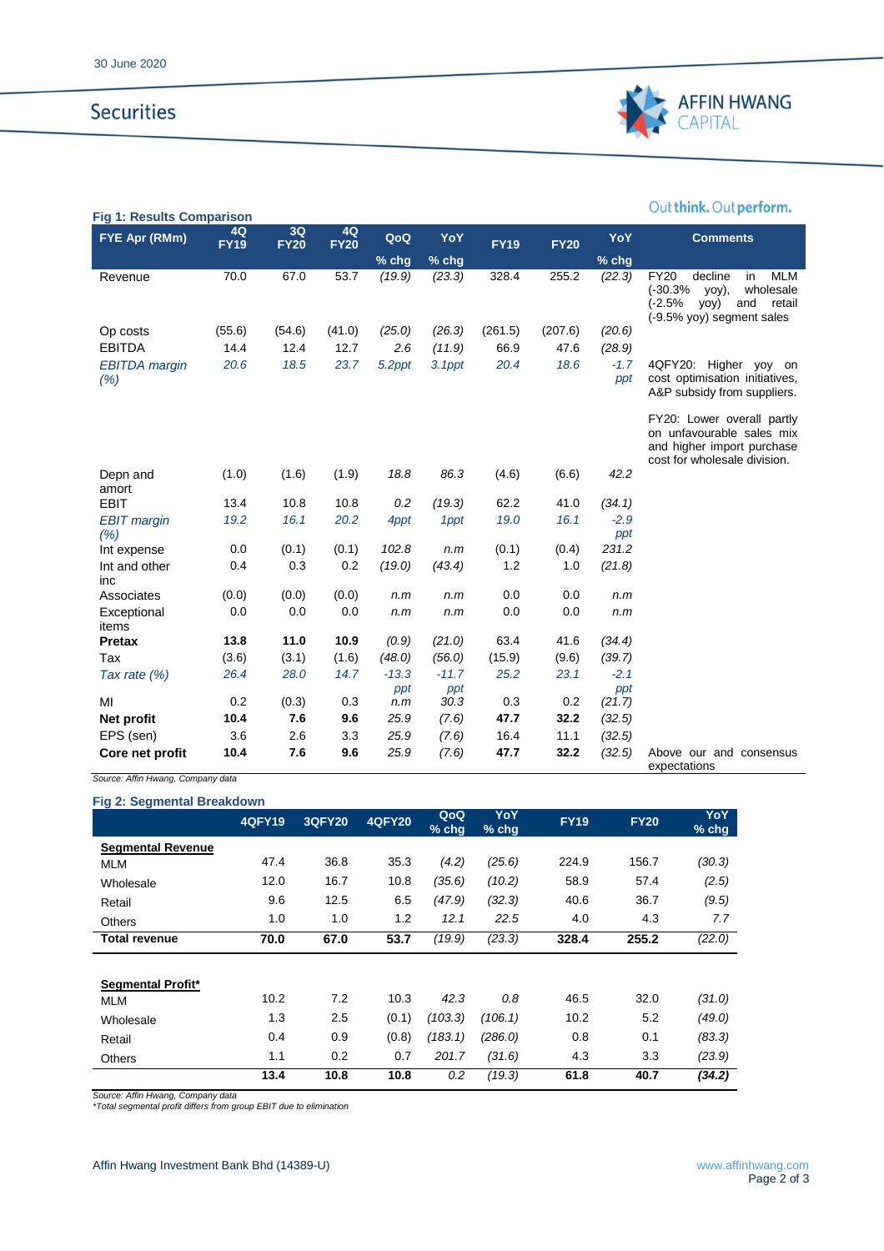# **Securities**



# Out think. Out perform.

| <b>Fig 1: Results Comparison</b> |                   |                   |                   |         |         |             |             |               |                                                                                                                                               |
|----------------------------------|-------------------|-------------------|-------------------|---------|---------|-------------|-------------|---------------|-----------------------------------------------------------------------------------------------------------------------------------------------|
| FYE Apr (RMm)                    | 4Q<br><b>FY19</b> | 3Q<br><b>FY20</b> | 4Q<br><b>FY20</b> | QoQ     | YoY     | <b>FY19</b> | <b>FY20</b> | YoY           | <b>Comments</b>                                                                                                                               |
|                                  |                   |                   |                   | $%$ chg | % chg   |             |             | % chg         |                                                                                                                                               |
| Revenue                          | 70.0              | 67.0              | 53.7              | (19.9)  | (23.3)  | 328.4       | 255.2       | (22.3)        | <b>FY20</b><br>decline<br><b>MLM</b><br>in<br>$(-30.3%$<br>wholesale<br>yoy),<br>(-2.5%<br>retail<br>yoy)<br>and<br>(-9.5% yoy) segment sales |
| Op costs                         | (55.6)            | (54.6)            | (41.0)            | (25.0)  | (26.3)  | (261.5)     | (207.6)     | (20.6)        |                                                                                                                                               |
| <b>EBITDA</b>                    | 14.4              | 12.4              | 12.7              | 2.6     | (11.9)  | 66.9        | 47.6        | (28.9)        |                                                                                                                                               |
| <b>EBITDA</b> margin<br>(% )     | 20.6              | 18.5              | 23.7              | 5.2ppt  | 3.1ppt  | 20.4        | 18.6        | $-1.7$<br>ppt | 4QFY20: Higher yoy<br>on<br>cost optimisation initiatives,<br>A&P subsidy from suppliers.                                                     |
|                                  |                   |                   |                   |         |         |             |             |               | FY20: Lower overall partly<br>on unfavourable sales mix<br>and higher import purchase<br>cost for wholesale division.                         |
| Depn and<br>amort                | (1.0)             | (1.6)             | (1.9)             | 18.8    | 86.3    | (4.6)       | (6.6)       | 42.2          |                                                                                                                                               |
| <b>EBIT</b>                      | 13.4              | 10.8              | 10.8              | 0.2     | (19.3)  | 62.2        | 41.0        | (34.1)        |                                                                                                                                               |
| <b>EBIT</b> margin<br>(% )       | 19.2              | 16.1              | 20.2              | 4ppt    | 1ppt    | 19.0        | 16.1        | $-2.9$<br>ppt |                                                                                                                                               |
| Int expense                      | 0.0               | (0.1)             | (0.1)             | 102.8   | n.m     | (0.1)       | (0.4)       | 231.2         |                                                                                                                                               |
| Int and other<br>inc             | 0.4               | 0.3               | 0.2               | (19.0)  | (43.4)  | 1.2         | 1.0         | (21.8)        |                                                                                                                                               |
| Associates                       | (0.0)             | (0.0)             | (0.0)             | n.m     | n.m     | 0.0         | 0.0         | n.m           |                                                                                                                                               |
| Exceptional<br>items             | 0.0               | 0.0               | 0.0               | n.m     | n.m     | 0.0         | 0.0         | n.m           |                                                                                                                                               |
| <b>Pretax</b>                    | 13.8              | 11.0              | 10.9              | (0.9)   | (21.0)  | 63.4        | 41.6        | (34.4)        |                                                                                                                                               |
| Tax                              | (3.6)             | (3.1)             | (1.6)             | (48.0)  | (56.0)  | (15.9)      | (9.6)       | (39.7)        |                                                                                                                                               |
| Tax rate $(\%)$                  | 26.4              | 28.0              | 14.7              | $-13.3$ | $-11.7$ | 25.2        | 23.1        | $-2.1$        |                                                                                                                                               |
|                                  |                   |                   |                   | ppt     | ppt     |             |             | ppt           |                                                                                                                                               |
| MI                               | 0.2               | (0.3)             | 0.3               | n.m     | 30.3    | 0.3         | 0.2         | (21.7)        |                                                                                                                                               |
| Net profit                       | 10.4              | 7.6               | 9.6               | 25.9    | (7.6)   | 47.7        | 32.2        | (32.5)        |                                                                                                                                               |
| EPS (sen)                        | 3.6               | 2.6               | 3.3               | 25.9    | (7.6)   | 16.4        | 11.1        | (32.5)        |                                                                                                                                               |
| Core net profit                  | 10.4              | 7.6               | 9.6               | 25.9    | (7.6)   | 47.7        | 32.2        | (32.5)        | Above our and consensus<br>expectations                                                                                                       |

*Source: Affin Hwang, Company data*

| Fig 2: Segmental Breakdown |               |        |               |                |                |             |             |                       |
|----------------------------|---------------|--------|---------------|----------------|----------------|-------------|-------------|-----------------------|
|                            | <b>4QFY19</b> | 3QFY20 | <b>4QFY20</b> | QoQ<br>$%$ chg | YoY<br>$%$ chg | <b>FY19</b> | <b>FY20</b> | <b>YoY</b><br>$%$ chg |
| <b>Segmental Revenue</b>   |               |        |               |                |                |             |             |                       |
| <b>MLM</b>                 | 47.4          | 36.8   | 35.3          | (4.2)          | (25.6)         | 224.9       | 156.7       | (30.3)                |
| Wholesale                  | 12.0          | 16.7   | 10.8          | (35.6)         | (10.2)         | 58.9        | 57.4        | (2.5)                 |
| Retail                     | 9.6           | 12.5   | 6.5           | (47.9)         | (32.3)         | 40.6        | 36.7        | (9.5)                 |
| <b>Others</b>              | 1.0           | 1.0    | 1.2           | 12.1           | 22.5           | 4.0         | 4.3         | 7.7                   |
| <b>Total revenue</b>       | 70.0          | 67.0   | 53.7          | (19.9)         | (23.3)         | 328.4       | 255.2       | (22.0)                |
|                            |               |        |               |                |                |             |             |                       |
| <b>Segmental Profit*</b>   | 10.2          | 7.2    | 10.3          | 42.3           | 0.8            | 46.5        | 32.0        |                       |
| MLM                        |               |        |               |                |                |             |             | (31.0)                |
| Wholesale                  | 1.3           | 2.5    | (0.1)         | (103.3)        | (106.1)        | 10.2        | 5.2         | (49.0)                |
| Retail                     | 0.4           | 0.9    | (0.8)         | (183.1)        | (286.0)        | 0.8         | 0.1         | (83.3)                |
| <b>Others</b>              | 1.1           | 0.2    | 0.7           | 201.7          | (31.6)         | 4.3         | 3.3         | (23.9)                |
|                            | 13.4          | 10.8   | 10.8          | 0.2            | (19.3)         | 61.8        | 40.7        | (34.2)                |

*Source: Affin Hwang, Company data \*Total segmental profit differs from group EBIT due to elimination*